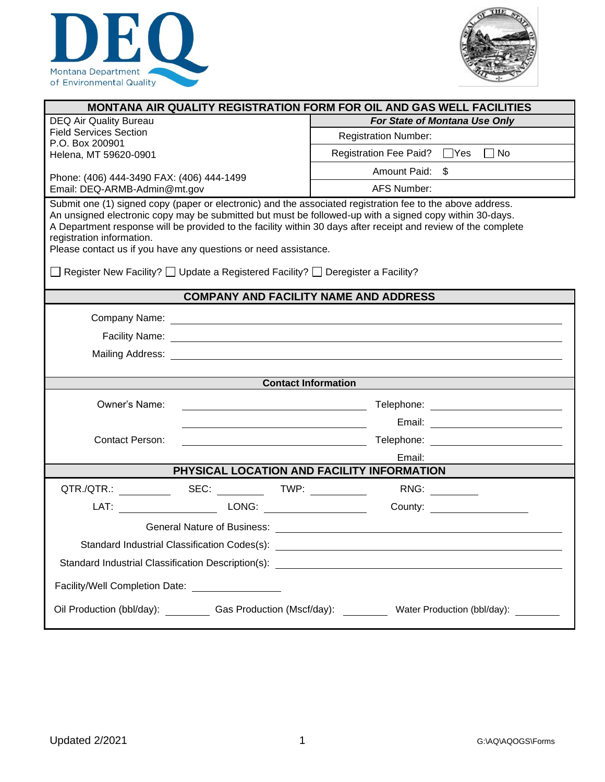



| <b>MONTANA AIR QUALITY REGISTRATION FORM FOR OIL AND GAS WELL FACILITIES</b>                                                                                                                                                                                                                                                                                                                                                                                                                                                 |                                                                                       |  |  |  |  |  |
|------------------------------------------------------------------------------------------------------------------------------------------------------------------------------------------------------------------------------------------------------------------------------------------------------------------------------------------------------------------------------------------------------------------------------------------------------------------------------------------------------------------------------|---------------------------------------------------------------------------------------|--|--|--|--|--|
| <b>DEQ Air Quality Bureau</b>                                                                                                                                                                                                                                                                                                                                                                                                                                                                                                | For State of Montana Use Only                                                         |  |  |  |  |  |
| <b>Field Services Section</b><br>P.O. Box 200901                                                                                                                                                                                                                                                                                                                                                                                                                                                                             | <b>Registration Number:</b>                                                           |  |  |  |  |  |
| Helena, MT 59620-0901                                                                                                                                                                                                                                                                                                                                                                                                                                                                                                        | Registration Fee Paid? □ Yes □ No                                                     |  |  |  |  |  |
| Phone: (406) 444-3490 FAX: (406) 444-1499                                                                                                                                                                                                                                                                                                                                                                                                                                                                                    | Amount Paid: \$                                                                       |  |  |  |  |  |
| Email: DEQ-ARMB-Admin@mt.gov                                                                                                                                                                                                                                                                                                                                                                                                                                                                                                 | <b>AFS Number:</b>                                                                    |  |  |  |  |  |
| Submit one (1) signed copy (paper or electronic) and the associated registration fee to the above address.<br>An unsigned electronic copy may be submitted but must be followed-up with a signed copy within 30-days.<br>A Department response will be provided to the facility within 30 days after receipt and review of the complete<br>registration information.<br>Please contact us if you have any questions or need assistance.<br>◯ Register New Facility? ◯ Update a Registered Facility? ◯ Deregister a Facility? |                                                                                       |  |  |  |  |  |
|                                                                                                                                                                                                                                                                                                                                                                                                                                                                                                                              |                                                                                       |  |  |  |  |  |
|                                                                                                                                                                                                                                                                                                                                                                                                                                                                                                                              | <b>COMPANY AND FACILITY NAME AND ADDRESS</b>                                          |  |  |  |  |  |
|                                                                                                                                                                                                                                                                                                                                                                                                                                                                                                                              |                                                                                       |  |  |  |  |  |
|                                                                                                                                                                                                                                                                                                                                                                                                                                                                                                                              |                                                                                       |  |  |  |  |  |
| Mailing Address: <u>contract the contract of the contract of the contract of the contract of the contract of the contract of the contract of the contract of the contract of the contract of the contract of the contract of the</u>                                                                                                                                                                                                                                                                                         |                                                                                       |  |  |  |  |  |
|                                                                                                                                                                                                                                                                                                                                                                                                                                                                                                                              |                                                                                       |  |  |  |  |  |
|                                                                                                                                                                                                                                                                                                                                                                                                                                                                                                                              | <b>Contact Information</b>                                                            |  |  |  |  |  |
| Owner's Name:                                                                                                                                                                                                                                                                                                                                                                                                                                                                                                                | Telephone: _______________________________                                            |  |  |  |  |  |
|                                                                                                                                                                                                                                                                                                                                                                                                                                                                                                                              |                                                                                       |  |  |  |  |  |
| <b>Contact Person:</b>                                                                                                                                                                                                                                                                                                                                                                                                                                                                                                       | <u> 1980 - Johann Barn, fransk politik (</u>                                          |  |  |  |  |  |
|                                                                                                                                                                                                                                                                                                                                                                                                                                                                                                                              | Email:                                                                                |  |  |  |  |  |
|                                                                                                                                                                                                                                                                                                                                                                                                                                                                                                                              | PHYSICAL LOCATION AND FACILITY INFORMATION                                            |  |  |  |  |  |
| QTR./QTR.: _____________ SEC: ____________TWP: ____________                                                                                                                                                                                                                                                                                                                                                                                                                                                                  | RNG:                                                                                  |  |  |  |  |  |
|                                                                                                                                                                                                                                                                                                                                                                                                                                                                                                                              |                                                                                       |  |  |  |  |  |
|                                                                                                                                                                                                                                                                                                                                                                                                                                                                                                                              |                                                                                       |  |  |  |  |  |
| Standard Industrial Classification Codes(s):<br><u> 1989 - Johann John Stein, fransk politik (d. 1989)</u>                                                                                                                                                                                                                                                                                                                                                                                                                   |                                                                                       |  |  |  |  |  |
|                                                                                                                                                                                                                                                                                                                                                                                                                                                                                                                              |                                                                                       |  |  |  |  |  |
| Facility/Well Completion Date: _________________                                                                                                                                                                                                                                                                                                                                                                                                                                                                             |                                                                                       |  |  |  |  |  |
|                                                                                                                                                                                                                                                                                                                                                                                                                                                                                                                              | Oil Production (bbl/day): Cas Production (Mscf/day): Water Production (bbl/day): 2009 |  |  |  |  |  |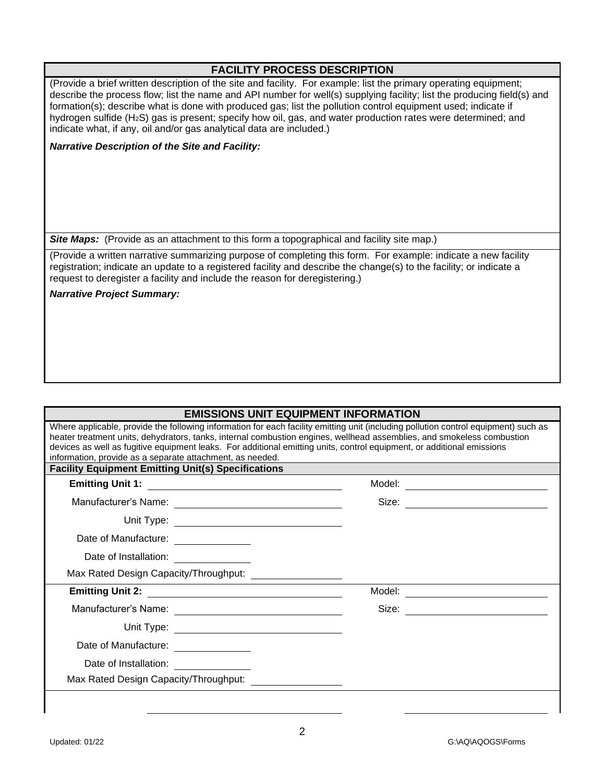#### **FACILITY PROCESS DESCRIPTION**

(Provide a brief written description of the site and facility. For example: list the primary operating equipment; describe the process flow; list the name and API number for well(s) supplying facility; list the producing field(s) and formation(s); describe what is done with produced gas; list the pollution control equipment used; indicate if hydrogen sulfide (H2S) gas is present; specify how oil, gas, and water production rates were determined; and indicate what, if any, oil and/or gas analytical data are included.)

*Narrative Description of the Site and Facility:*

**Site Maps:** (Provide as an attachment to this form a topographical and facility site map.)

(Provide a written narrative summarizing purpose of completing this form. For example: indicate a new facility registration; indicate an update to a registered facility and describe the change(s) to the facility; or indicate a request to deregister a facility and include the reason for deregistering.)

*Narrative Project Summary:*

# **EMISSIONS UNIT EQUIPMENT INFORMATION**

| Where applicable, provide the following information for each facility emitting unit (including pollution control equipment) such as<br>heater treatment units, dehydrators, tanks, internal combustion engines, wellhead assemblies, and smokeless combustion |                                    |  |  |  |  |
|---------------------------------------------------------------------------------------------------------------------------------------------------------------------------------------------------------------------------------------------------------------|------------------------------------|--|--|--|--|
| devices as well as fugitive equipment leaks. For additional emitting units, control equipment, or additional emissions                                                                                                                                        |                                    |  |  |  |  |
| information, provide as a separate attachment, as needed.<br><b>Facility Equipment Emitting Unit(s) Specifications</b>                                                                                                                                        |                                    |  |  |  |  |
|                                                                                                                                                                                                                                                               |                                    |  |  |  |  |
|                                                                                                                                                                                                                                                               |                                    |  |  |  |  |
|                                                                                                                                                                                                                                                               |                                    |  |  |  |  |
| Date of Manufacture: ______________                                                                                                                                                                                                                           |                                    |  |  |  |  |
| Date of Installation: _____________                                                                                                                                                                                                                           |                                    |  |  |  |  |
|                                                                                                                                                                                                                                                               |                                    |  |  |  |  |
|                                                                                                                                                                                                                                                               | Model: ___________________________ |  |  |  |  |
|                                                                                                                                                                                                                                                               | Size: ________________________     |  |  |  |  |
|                                                                                                                                                                                                                                                               |                                    |  |  |  |  |
| Date of Manufacture: ______________                                                                                                                                                                                                                           |                                    |  |  |  |  |
| Date of Installation: <u>____________</u>                                                                                                                                                                                                                     |                                    |  |  |  |  |
| Max Rated Design Capacity/Throughput: \\equimediated Design Capacity/Throughput:                                                                                                                                                                              |                                    |  |  |  |  |
|                                                                                                                                                                                                                                                               |                                    |  |  |  |  |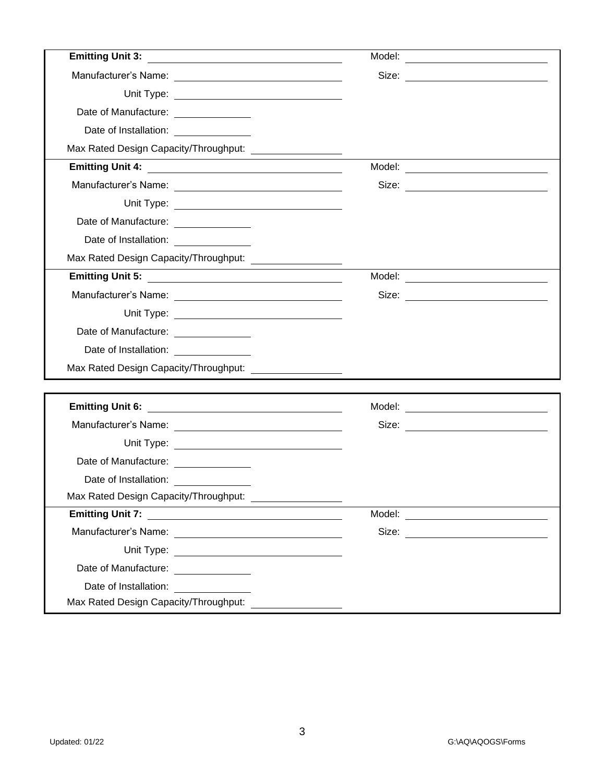| Emitting Unit 3: <u>_________________________________</u>  | Model:<br><u> 1989 - John Stein, Amerikaansk politiker (* 1908)</u> |  |
|------------------------------------------------------------|---------------------------------------------------------------------|--|
|                                                            |                                                                     |  |
|                                                            |                                                                     |  |
| Date of Manufacture: ______________                        |                                                                     |  |
| Date of Installation: <u>______________</u>                |                                                                     |  |
| Max Rated Design Capacity/Throughput: ____________________ |                                                                     |  |
|                                                            | Model: __________________________________                           |  |
|                                                            |                                                                     |  |
|                                                            |                                                                     |  |
| Date of Manufacture: ______________                        |                                                                     |  |
| Date of Installation: ________________                     |                                                                     |  |
| Max Rated Design Capacity/Throughput: ___________________  |                                                                     |  |
|                                                            | Model: ___________________________                                  |  |
|                                                            |                                                                     |  |
|                                                            |                                                                     |  |
| Date of Manufacture: <u>_____________</u>                  |                                                                     |  |
| Date of Installation: <u>__________</u>                    |                                                                     |  |
| Max Rated Design Capacity/Throughput: ___________________  |                                                                     |  |
|                                                            |                                                                     |  |
|                                                            |                                                                     |  |
|                                                            | Size: _________________________                                     |  |
|                                                            |                                                                     |  |
| Date of Manufacture: ______________                        |                                                                     |  |
| Date of Installation: [1995]                               |                                                                     |  |
| Max Rated Design Capacity/Throughput: ___________________  |                                                                     |  |
| Emitting Unit 7:                                           | Model: _______________________________                              |  |
|                                                            |                                                                     |  |
|                                                            |                                                                     |  |
| Date of Manufacture: ______________                        |                                                                     |  |
| Date of Installation:<br><u> 1990 - Andrea Sta</u>         |                                                                     |  |
| Max Rated Design Capacity/Throughput:                      |                                                                     |  |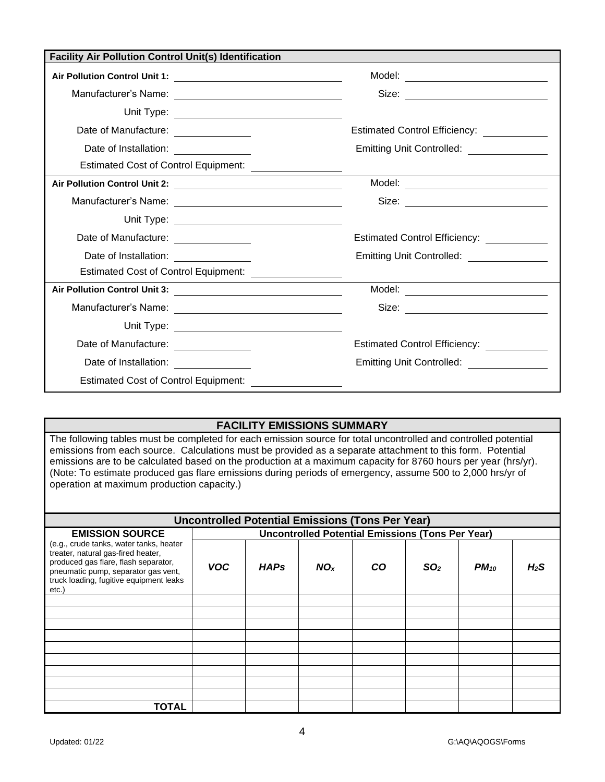| <b>Facility Air Pollution Control Unit(s) Identification</b> |                                                          |                                             |  |  |  |  |
|--------------------------------------------------------------|----------------------------------------------------------|---------------------------------------------|--|--|--|--|
|                                                              |                                                          |                                             |  |  |  |  |
|                                                              |                                                          |                                             |  |  |  |  |
|                                                              |                                                          |                                             |  |  |  |  |
| Date of Manufacture: _______________                         |                                                          | Estimated Control Efficiency: _____________ |  |  |  |  |
| Date of Installation:                                        |                                                          | Emitting Unit Controlled: ________________  |  |  |  |  |
|                                                              | Estimated Cost of Control Equipment: ___________________ |                                             |  |  |  |  |
|                                                              |                                                          |                                             |  |  |  |  |
|                                                              |                                                          |                                             |  |  |  |  |
|                                                              |                                                          |                                             |  |  |  |  |
| Date of Manufacture: _______________                         |                                                          | Estimated Control Efficiency: ___________   |  |  |  |  |
| Date of Installation: _______________                        |                                                          | Emitting Unit Controlled: _______________   |  |  |  |  |
|                                                              | Estimated Cost of Control Equipment: _________________   |                                             |  |  |  |  |
|                                                              |                                                          | Model: _______________________________      |  |  |  |  |
|                                                              |                                                          |                                             |  |  |  |  |
|                                                              |                                                          |                                             |  |  |  |  |
| Date of Manufacture: ______________                          |                                                          |                                             |  |  |  |  |
| Date of Installation: <u>___________________</u>             |                                                          |                                             |  |  |  |  |
| <b>Estimated Cost of Control Equipment:</b>                  |                                                          |                                             |  |  |  |  |

## **FACILITY EMISSIONS SUMMARY**

The following tables must be completed for each emission source for total uncontrolled and controlled potential emissions from each source. Calculations must be provided as a separate attachment to this form. Potential emissions are to be calculated based on the production at a maximum capacity for 8760 hours per year (hrs/yr). (Note: To estimate produced gas flare emissions during periods of emergency, assume 500 to 2,000 hrs/yr of operation at maximum production capacity.)

| <b>Uncontrolled Potential Emissions (Tons Per Year)</b>                                                                                                                                                         |                                                         |             |                 |    |                 |           |                  |
|-----------------------------------------------------------------------------------------------------------------------------------------------------------------------------------------------------------------|---------------------------------------------------------|-------------|-----------------|----|-----------------|-----------|------------------|
| <b>EMISSION SOURCE</b>                                                                                                                                                                                          | <b>Uncontrolled Potential Emissions (Tons Per Year)</b> |             |                 |    |                 |           |                  |
| (e.g., crude tanks, water tanks, heater<br>treater, natural gas-fired heater,<br>produced gas flare, flash separator,<br>pneumatic pump, separator gas vent,<br>truck loading, fugitive equipment leaks<br>etc. | <b>VOC</b>                                              | <b>HAPs</b> | NO <sub>x</sub> | CO | SO <sub>2</sub> | $PM_{10}$ | H <sub>2</sub> S |
|                                                                                                                                                                                                                 |                                                         |             |                 |    |                 |           |                  |
|                                                                                                                                                                                                                 |                                                         |             |                 |    |                 |           |                  |
|                                                                                                                                                                                                                 |                                                         |             |                 |    |                 |           |                  |
|                                                                                                                                                                                                                 |                                                         |             |                 |    |                 |           |                  |
|                                                                                                                                                                                                                 |                                                         |             |                 |    |                 |           |                  |
|                                                                                                                                                                                                                 |                                                         |             |                 |    |                 |           |                  |
|                                                                                                                                                                                                                 |                                                         |             |                 |    |                 |           |                  |
|                                                                                                                                                                                                                 |                                                         |             |                 |    |                 |           |                  |
|                                                                                                                                                                                                                 |                                                         |             |                 |    |                 |           |                  |
| TOTAL                                                                                                                                                                                                           |                                                         |             |                 |    |                 |           |                  |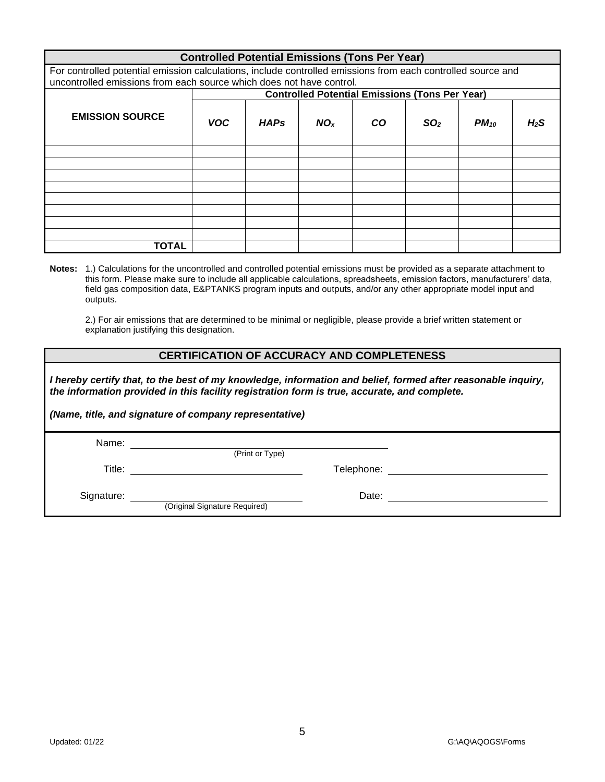| <b>Controlled Potential Emissions (Tons Per Year)</b>                                                        |            |             |                 |     |                                                       |           |                  |
|--------------------------------------------------------------------------------------------------------------|------------|-------------|-----------------|-----|-------------------------------------------------------|-----------|------------------|
| For controlled potential emission calculations, include controlled emissions from each controlled source and |            |             |                 |     |                                                       |           |                  |
| uncontrolled emissions from each source which does not have control.                                         |            |             |                 |     |                                                       |           |                  |
|                                                                                                              |            |             |                 |     | <b>Controlled Potential Emissions (Tons Per Year)</b> |           |                  |
| <b>EMISSION SOURCE</b>                                                                                       | <b>VOC</b> | <b>HAPs</b> | NO <sub>x</sub> | CO. | SO <sub>2</sub>                                       | $PM_{10}$ | H <sub>2</sub> S |
|                                                                                                              |            |             |                 |     |                                                       |           |                  |
|                                                                                                              |            |             |                 |     |                                                       |           |                  |
|                                                                                                              |            |             |                 |     |                                                       |           |                  |
|                                                                                                              |            |             |                 |     |                                                       |           |                  |
|                                                                                                              |            |             |                 |     |                                                       |           |                  |
|                                                                                                              |            |             |                 |     |                                                       |           |                  |
|                                                                                                              |            |             |                 |     |                                                       |           |                  |
|                                                                                                              |            |             |                 |     |                                                       |           |                  |
| TOTAL                                                                                                        |            |             |                 |     |                                                       |           |                  |

**Notes:** 1.) Calculations for the uncontrolled and controlled potential emissions must be provided as a separate attachment to this form. Please make sure to include all applicable calculations, spreadsheets, emission factors, manufacturers' data, field gas composition data, E&PTANKS program inputs and outputs, and/or any other appropriate model input and outputs.

2.) For air emissions that are determined to be minimal or negligible, please provide a brief written statement or explanation justifying this designation.

#### **CERTIFICATION OF ACCURACY AND COMPLETENESS**

*I hereby certify that, to the best of my knowledge, information and belief, formed after reasonable inquiry, the information provided in this facility registration form is true, accurate, and complete.*

|            | (Name, title, and signature of company representative) |            |  |
|------------|--------------------------------------------------------|------------|--|
| Name:      | (Print or Type)                                        |            |  |
| Title:     |                                                        | Telephone: |  |
| Signature: | (Original Signature Required)                          | Date:      |  |